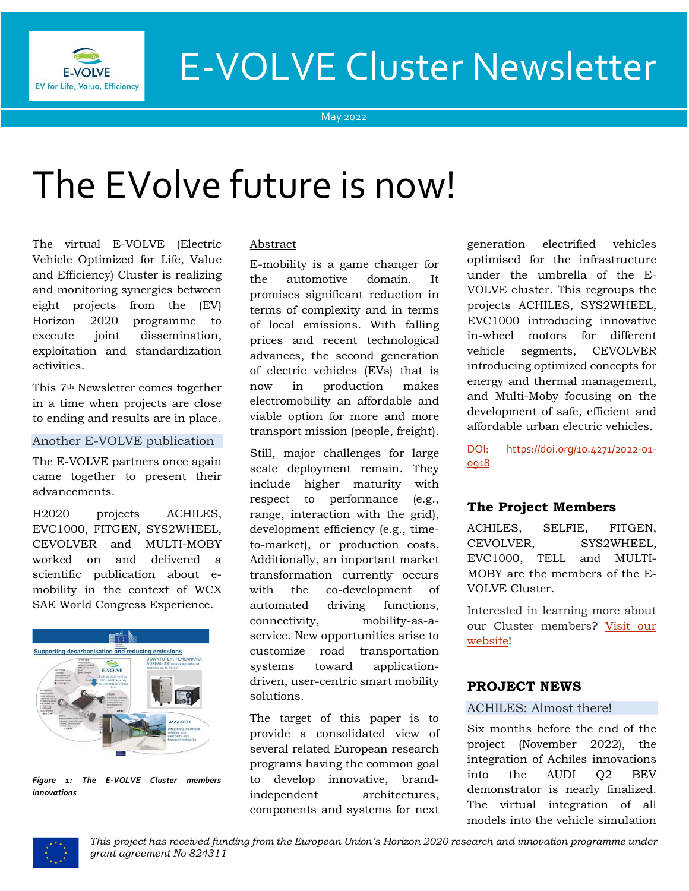

# E-VOLVE Cluster Newsletter

May 2022

# The EVolve future is now!

The virtual E-VOLVE (Electric Vehicle Optimized for Life, Value and Efficiency) Cluster is realizing and monitoring synergies between eight projects from the (EV) Horizon 2020 programme to execute joint dissemination, exploitation and standardization activities.

This 7th Newsletter comes together in a time when projects are close to ending and results are in place.

# Another E-VOLVE publication

The E-VOLVE partners once again came together to present their advancements.

H2020 projects ACHILES, EVC1000, FITGEN, SYS2WHEEL, CEVOLVER and MULTI-MOBY worked on and delivered a scientific publication about emobility in the context of WCX SAE World Congress Experience.



*Figure 1: The E-VOLVE Cluster members innovations*

#### Abstract

E-mobility is a game changer for the automotive domain. It promises significant reduction in terms of complexity and in terms of local emissions. With falling prices and recent technological advances, the second generation of electric vehicles (EVs) that is now in production makes electromobility an affordable and viable option for more and more transport mission (people, freight).

Still, major challenges for large scale deployment remain. They include higher maturity with respect to performance (e.g., range, interaction with the grid), development efficiency (e.g., timeto-market), or production costs. Additionally, an important market transformation currently occurs with the co-development of automated driving functions, connectivity, mobility-as-aservice. New opportunities arise to customize road transportation systems toward applicationdriven, user-centric smart mobility solutions.

The target of this paper is to provide a consolidated view of several related European research programs having the common goal to develop innovative, brandindependent architectures, components and systems for next

generation electrified vehicles optimised for the infrastructure under the umbrella of the E-VOLVE cluster. This regroups the projects ACHILES, SYS2WHEEL, EVC1000 introducing innovative in-wheel motors for different vehicle segments, CEVOLVER introducing optimized concepts for energy and thermal management, and Multi-Moby focusing on the development of safe, efficient and affordable urban electric vehicles.

DOI: https://doi.org/10.4271/2022-01- 0918

# **The Project Members**

ACHILES, SELFIE, FITGEN, CEVOLVER, SYS2WHEEL, EVC1000, TELL and MULTI-MOBY are the members of the E-VOLVE Cluster.

Interested in learning more about our Cluster members? [Visit our](https://www.h2020-evolvecluster.eu/project-members)  [website!](https://www.h2020-evolvecluster.eu/project-members)

# **PROJECT NEWS**

# ACHILES: Almost there!

Six months before the end of the project (November 2022), the integration of Achiles innovations into the AUDI Q2 BEV demonstrator is nearly finalized. The virtual integration of all models into the vehicle simulation

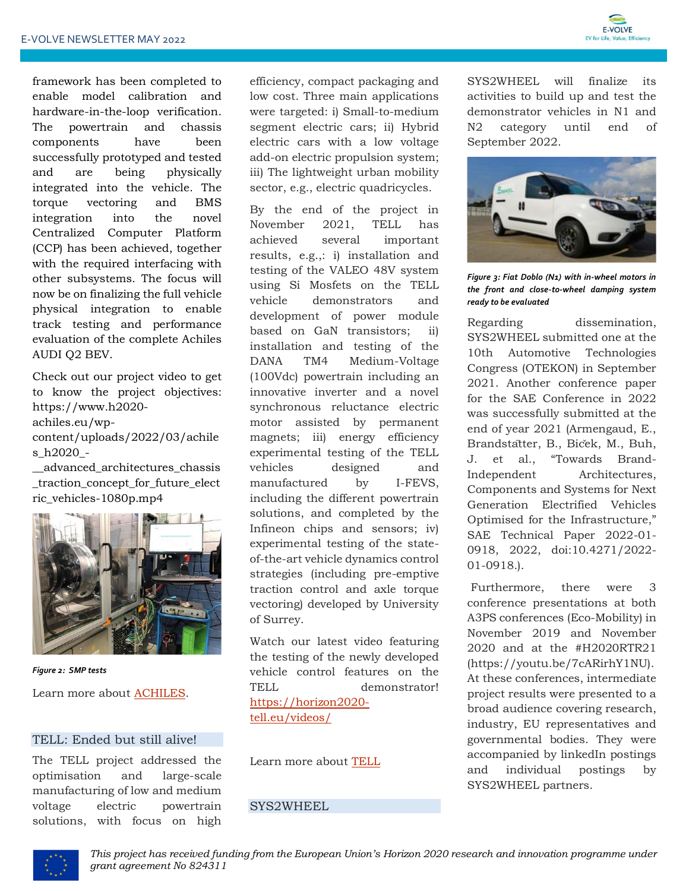

framework has been completed to enable model calibration and hardware-in-the-loop verification. The powertrain and chassis components have been successfully prototyped and tested and are being physically integrated into the vehicle. The torque vectoring and BMS integration into the novel Centralized Computer Platform (CCP) has been achieved, together with the required interfacing with other subsystems. The focus will now be on finalizing the full vehicle physical integration to enable track testing and performance evaluation of the complete Achiles AUDI Q2 BEV.

Check out our project video to get to know the project objectives: [https://www.h2020](https://www.h2020-achiles.eu/wp-content/uploads/2022/03/achiles_h2020_-__advanced_architectures_chassis_traction_concept_for_future_electric_vehicles-1080p.mp4) [achiles.eu/wp](https://www.h2020-achiles.eu/wp-content/uploads/2022/03/achiles_h2020_-__advanced_architectures_chassis_traction_concept_for_future_electric_vehicles-1080p.mp4)[content/uploads/2022/03/achile](https://www.h2020-achiles.eu/wp-content/uploads/2022/03/achiles_h2020_-__advanced_architectures_chassis_traction_concept_for_future_electric_vehicles-1080p.mp4) [s\\_h2020\\_-](https://www.h2020-achiles.eu/wp-content/uploads/2022/03/achiles_h2020_-__advanced_architectures_chassis_traction_concept_for_future_electric_vehicles-1080p.mp4)

[\\_\\_advanced\\_architectures\\_chassis](https://www.h2020-achiles.eu/wp-content/uploads/2022/03/achiles_h2020_-__advanced_architectures_chassis_traction_concept_for_future_electric_vehicles-1080p.mp4) [\\_traction\\_concept\\_for\\_future\\_elect](https://www.h2020-achiles.eu/wp-content/uploads/2022/03/achiles_h2020_-__advanced_architectures_chassis_traction_concept_for_future_electric_vehicles-1080p.mp4) [ric\\_vehicles-1080p.mp4](https://www.h2020-achiles.eu/wp-content/uploads/2022/03/achiles_h2020_-__advanced_architectures_chassis_traction_concept_for_future_electric_vehicles-1080p.mp4)



*Figure 2: SMP tests*

Learn more about **ACHILES**.

#### TELL: Ended but still alive!

The TELL project addressed the optimisation and large-scale manufacturing of low and medium voltage electric powertrain solutions, with focus on high

efficiency, compact packaging and low cost. Three main applications were targeted: i) Small-to-medium segment electric cars; ii) Hybrid electric cars with a low voltage add-on electric propulsion system; iii) The lightweight urban mobility sector, e.g., electric quadricycles.

By the end of the project in November 2021, TELL has achieved several important results, e.g.,: i) installation and testing of the VALEO 48V system using Si Mosfets on the TELL vehicle demonstrators and development of power module based on GaN transistors; ii) installation and testing of the DANA TM4 Medium-Voltage (100Vdc) powertrain including an innovative inverter and a novel synchronous reluctance electric motor assisted by permanent magnets; iii) energy efficiency experimental testing of the TELL vehicles designed and manufactured by I-FEVS, including the different powertrain solutions, and completed by the Infineon chips and sensors; iv) experimental testing of the stateof-the-art vehicle dynamics control strategies (including pre-emptive traction control and axle torque vectoring) developed by University of Surrey.

Watch our latest video featuring the testing of the newly developed vehicle control features on the TELL demonstrator! [https://horizon2020](https://horizon2020-tell.eu/videos/) [tell.eu/videos/](https://horizon2020-tell.eu/videos/)

Learn more about [TELL](https://www.h2020-evolvecluster.eu/tell-h2020-project)

## SYS2WHEEL

SYS2WHEEL will finalize its activities to build up and test the demonstrator vehicles in N1 and N2 category until end of September 2022.



*Figure 3: Fiat Doblo (N1) with in-wheel motors in the front and close-to-wheel damping system ready to be evaluated*

Regarding dissemination, SYS2WHEEL submitted one at the 10th Automotive Technologies Congress (OTEKON) in September 2021. Another conference paper for the SAE Conference in 2022 was successfully submitted at the end of year 2021 (Armengaud, E., Brandstätter, B., Biček, M., Buh, J. et al., "Towards Brand-Independent Architectures, Components and Systems for Next Generation Electrified Vehicles Optimised for the Infrastructure," SAE Technical Paper 2022-01- 0918, 2022, doi:10.4271/2022- 01-0918.).

Furthermore, there were 3 conference presentations at both A3PS conferences (Eco-Mobility) in November 2019 and November 2020 and at the #H2020RTR21 (https://youtu.be/7cARirhY1NU). At these conferences, intermediate project results were presented to a broad audience covering research, industry, EU representatives and governmental bodies. They were accompanied by linkedIn postings and individual postings by SYS2WHEEL partners.

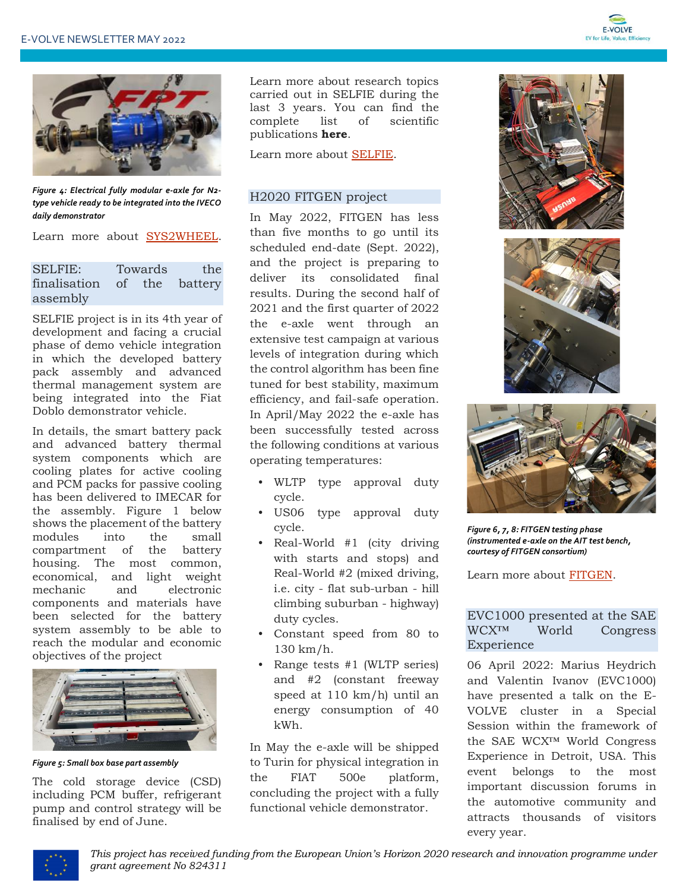



*Figure 4: Electrical fully modular e-axle for N2 type vehicle ready to be integrated into the IVECO daily demonstrator*

Learn more about [SYS2WHEEL.](https://sys2wheel.eu/)

| <b>SELFIE:</b>              | Towards |  | the |
|-----------------------------|---------|--|-----|
| finalisation of the battery |         |  |     |
| assembly                    |         |  |     |

SELFIE project is in its 4th year of development and facing a crucial phase of demo vehicle integration in which the developed battery pack assembly and advanced thermal management system are being integrated into the Fiat Doblo demonstrator vehicle.

In details, the smart battery pack and advanced battery thermal system components which are cooling plates for active cooling and PCM packs for passive cooling has been delivered to IMECAR for the assembly. Figure 1 below shows the placement of the battery modules into the small compartment of the battery housing. The most common, economical, and light weight mechanic and electronic components and materials have been selected for the battery system assembly to be able to reach the modular and economic objectives of the project



*Figure 5: Small box base part assembly*

The cold storage device (CSD) including PCM buffer, refrigerant pump and control strategy will be finalised by end of June.

Learn more about research topics carried out in SELFIE during the last 3 years. You can find the complete list of scientific publications **[here](https://eu-project-selfie.eu/publications/)**.

Learn more about [SELFIE.](https://eu-project-selfie.eu/)

#### H2020 FITGEN project

In May 2022, FITGEN has less than five months to go until its scheduled end-date (Sept. 2022), and the project is preparing to deliver its consolidated final results. During the second half of 2021 and the first quarter of 2022 the e-axle went through an extensive test campaign at various levels of integration during which the control algorithm has been fine tuned for best stability, maximum efficiency, and fail-safe operation. In April/May 2022 the e-axle has been successfully tested across the following conditions at various operating temperatures:

- WLTP type approval duty cycle.
- US06 type approval duty cycle.
- Real-World #1 (city driving with starts and stops) and Real-World #2 (mixed driving, i.e. city - flat sub-urban - hill climbing suburban - highway) duty cycles.
- Constant speed from 80 to 130 km/h.
- Range tests #1 (WLTP series) and #2 (constant freeway speed at 110 km/h) until an energy consumption of 40 kWh.

In May the e-axle will be shipped to Turin for physical integration in the FIAT 500e platform, concluding the project with a fully functional vehicle demonstrator.







*Figure 6, 7, 8: FITGEN testing phase (instrumented e-axle on the AIT test bench, courtesy of FITGEN consortium)*

Learn more about [FITGEN.](https://www.fitgen-project.eu/)

## EVC1000 presented at the SAE WCX™ World Congress Experience

06 April 2022: Marius Heydrich and Valentin Ivanov (EVC1000) have presented a talk on the E-VOLVE cluster in a Special Session within the framework of the SAE WCX™ World Congress Experience in Detroit, USA. This event belongs to the most important discussion forums in the automotive community and attracts thousands of visitors every year.

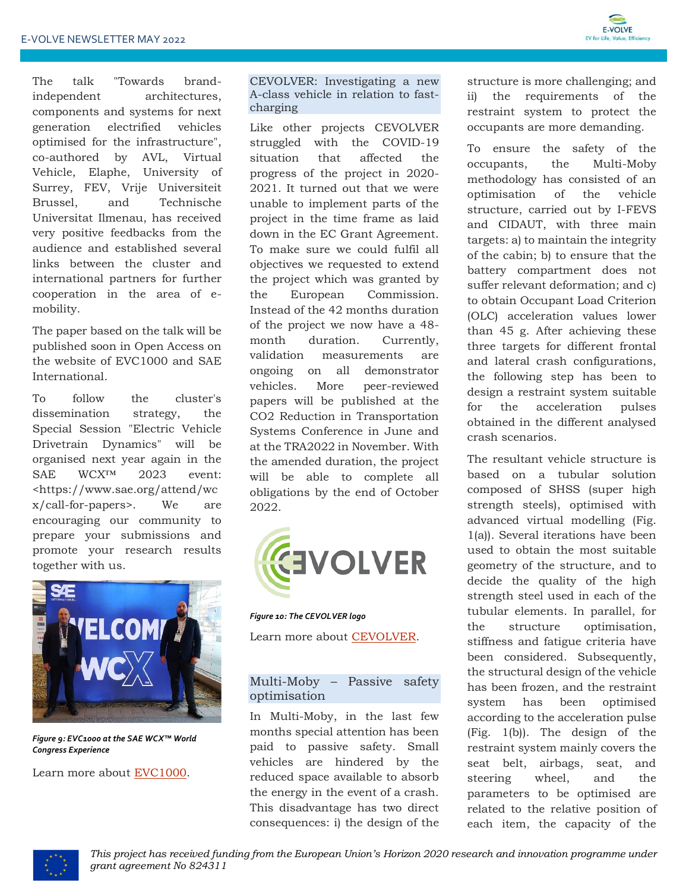

The talk "Towards brandindependent architectures, components and systems for next generation electrified vehicles optimised for the infrastructure", co-authored by AVL, Virtual Vehicle, Elaphe, University of Surrey, FEV, Vrije Universiteit Brussel, and Technische Universitat Ilmenau, has received very positive feedbacks from the audience and established several links between the cluster and international partners for further cooperation in the area of emobility.

The paper based on the talk will be published soon in Open Access on the website of EVC1000 and SAE International.

To follow the cluster's dissemination strategy, the Special Session "Electric Vehicle Drivetrain Dynamics" will be organised next year again in the SAE WCX™ 2023 event: <https://www.sae.org/attend/wc x/call-for-papers>. We are encouraging our community to prepare your submissions and promote your research results together with us.



*Figure 9: EVC1000 at the SAE WCX™ World Congress Experience*

Learn more about [EVC1000.](http://www.evc1000.eu/en)

CEVOLVER: Investigating a new A-class vehicle in relation to fastcharging

Like other projects CEVOLVER struggled with the COVID-19 situation that affected the progress of the project in 2020- 2021. It turned out that we were unable to implement parts of the project in the time frame as laid down in the EC Grant Agreement. To make sure we could fulfil all objectives we requested to extend the project which was granted by the European Commission. Instead of the 42 months duration of the project we now have a 48 month duration. Currently, validation measurements are ongoing on all demonstrator vehicles. More peer-reviewed papers will be published at the CO2 Reduction in Transportation Systems Conference in June and at the TRA2022 in November. With the amended duration, the project will be able to complete all obligations by the end of October 2022.



*Figure 10: The CEVOLVER logo*

Learn more about [CEVOLVER.](https://cevolver.eu/)

#### Multi-Moby – Passive safety optimisation

In Multi-Moby, in the last few months special attention has been paid to passive safety. Small vehicles are hindered by the reduced space available to absorb the energy in the event of a crash. This disadvantage has two direct consequences: i) the design of the

structure is more challenging; and ii) the requirements of the restraint system to protect the occupants are more demanding.

To ensure the safety of the occupants, the Multi-Moby methodology has consisted of an optimisation of the vehicle structure, carried out by I-FEVS and CIDAUT, with three main targets: a) to maintain the integrity of the cabin; b) to ensure that the battery compartment does not suffer relevant deformation; and c) to obtain Occupant Load Criterion (OLC) acceleration values lower than 45 g. After achieving these three targets for different frontal and lateral crash configurations, the following step has been to design a restraint system suitable for the acceleration pulses obtained in the different analysed crash scenarios.

The resultant vehicle structure is based on a tubular solution composed of SHSS (super high strength steels), optimised with advanced virtual modelling (Fig. 1(a)). Several iterations have been used to obtain the most suitable geometry of the structure, and to decide the quality of the high strength steel used in each of the tubular elements. In parallel, for the structure optimisation, stiffness and fatigue criteria have been considered. Subsequently, the structural design of the vehicle has been frozen, and the restraint system has been optimised according to the acceleration pulse (Fig. 1(b)). The design of the restraint system mainly covers the seat belt, airbags, seat, and steering wheel, and the parameters to be optimised are related to the relative position of each item, the capacity of the